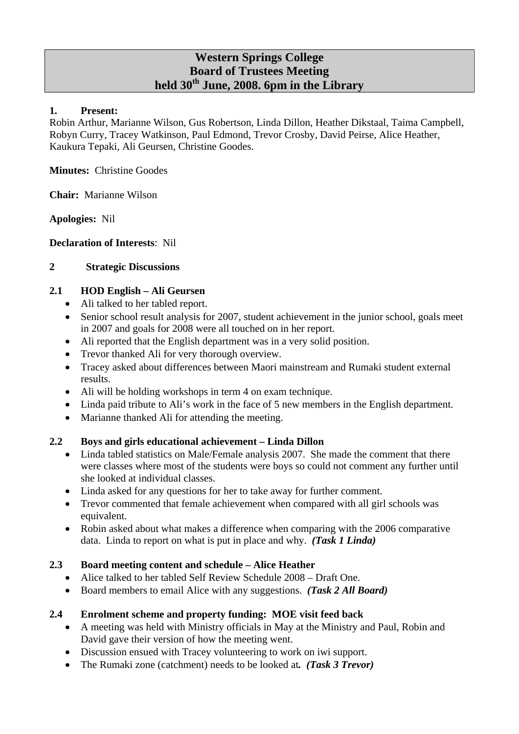## **Western Springs College Board of Trustees Meeting held 30th June, 2008. 6pm in the Library**

#### **1. Present:**

Robin Arthur, Marianne Wilson, Gus Robertson, Linda Dillon, Heather Dikstaal, Taima Campbell, Robyn Curry, Tracey Watkinson, Paul Edmond, Trevor Crosby, David Peirse, Alice Heather, Kaukura Tepaki, Ali Geursen, Christine Goodes.

**Minutes:** Christine Goodes

**Chair:** Marianne Wilson

**Apologies:** Nil

**Declaration of Interests**: Nil

## **2 Strategic Discussions**

## **2.1 HOD English – Ali Geursen**

- Ali talked to her tabled report.
- Senior school result analysis for 2007, student achievement in the junior school, goals meet in 2007 and goals for 2008 were all touched on in her report.
- Ali reported that the English department was in a very solid position.
- Trevor thanked Ali for very thorough overview.
- Tracey asked about differences between Maori mainstream and Rumaki student external results.
- Ali will be holding workshops in term 4 on exam technique.
- Linda paid tribute to Ali's work in the face of 5 new members in the English department.
- Marianne thanked Ali for attending the meeting.

## **2.2 Boys and girls educational achievement – Linda Dillon**

- Linda tabled statistics on Male/Female analysis 2007. She made the comment that there were classes where most of the students were boys so could not comment any further until she looked at individual classes.
- Linda asked for any questions for her to take away for further comment.
- Trevor commented that female achievement when compared with all girl schools was equivalent.
- Robin asked about what makes a difference when comparing with the 2006 comparative data. Linda to report on what is put in place and why. *(Task 1 Linda)*

#### **2.3 Board meeting content and schedule – Alice Heather**

- Alice talked to her tabled Self Review Schedule 2008 Draft One.
- Board members to email Alice with any suggestions. *(Task 2 All Board)*

#### **2.4 Enrolment scheme and property funding: MOE visit feed back**

- A meeting was held with Ministry officials in May at the Ministry and Paul, Robin and David gave their version of how the meeting went.
- Discussion ensued with Tracey volunteering to work on iwi support.
- The Rumaki zone (catchment) needs to be looked at*. (Task 3 Trevor)*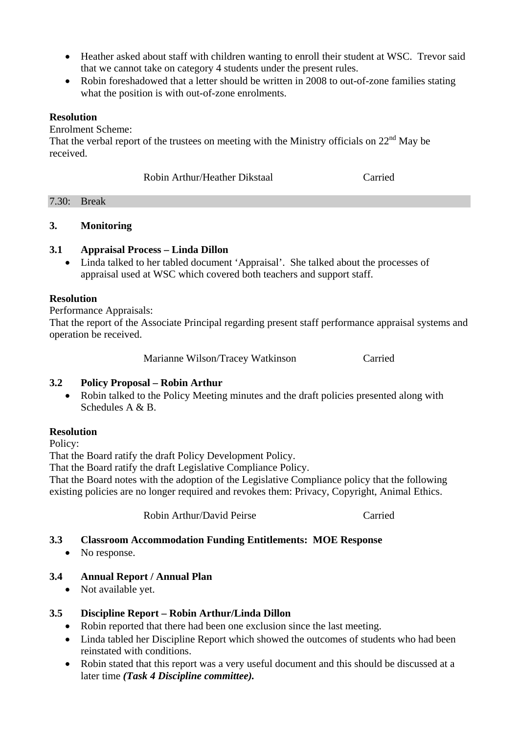- Heather asked about staff with children wanting to enroll their student at WSC. Trevor said that we cannot take on category 4 students under the present rules.
- Robin foreshadowed that a letter should be written in 2008 to out-of-zone families stating what the position is with out-of-zone enrolments.

#### **Resolution**

Enrolment Scheme:

That the verbal report of the trustees on meeting with the Ministry officials on  $22<sup>nd</sup>$  May be received.

Robin Arthur/Heather Dikstaal Carried

| 7.30 | the contract of the contract of<br>$   -$ |  |  |  |
|------|-------------------------------------------|--|--|--|
|      |                                           |  |  |  |

## **3. Monitoring**

#### **3.1 Appraisal Process – Linda Dillon**

• Linda talked to her tabled document 'Appraisal'. She talked about the processes of appraisal used at WSC which covered both teachers and support staff.

#### **Resolution**

Performance Appraisals:

That the report of the Associate Principal regarding present staff performance appraisal systems and operation be received.

Marianne Wilson/Tracey Watkinson Carried

## **3.2 Policy Proposal – Robin Arthur**

• Robin talked to the Policy Meeting minutes and the draft policies presented along with Schedules A & B.

#### **Resolution**

Policy:

That the Board ratify the draft Policy Development Policy.

That the Board ratify the draft Legislative Compliance Policy.

That the Board notes with the adoption of the Legislative Compliance policy that the following existing policies are no longer required and revokes them: Privacy, Copyright, Animal Ethics.

Robin Arthur/David Peirse Carried

## **3.3 Classroom Accommodation Funding Entitlements: MOE Response**

• No response.

## **3.4 Annual Report / Annual Plan**

• Not available yet.

## **3.5 Discipline Report – Robin Arthur/Linda Dillon**

- Robin reported that there had been one exclusion since the last meeting.
- Linda tabled her Discipline Report which showed the outcomes of students who had been reinstated with conditions.
- Robin stated that this report was a very useful document and this should be discussed at a later time *(Task 4 Discipline committee).*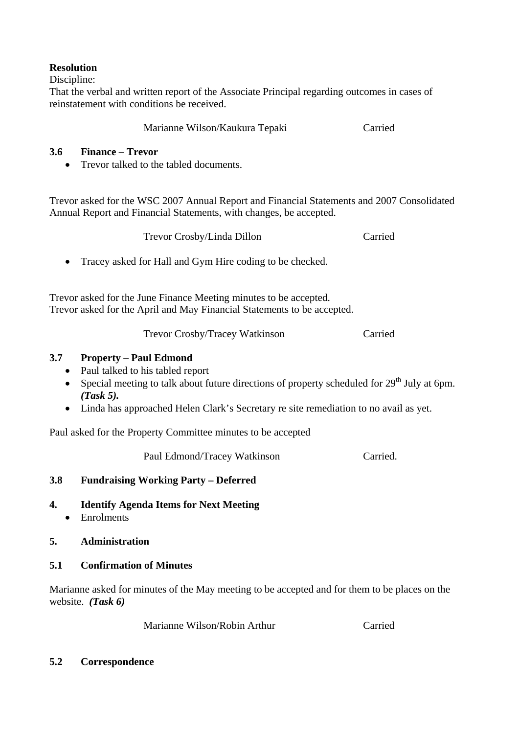## **Resolution**

Discipline:

That the verbal and written report of the Associate Principal regarding outcomes in cases of reinstatement with conditions be received.

Marianne Wilson/Kaukura Tepaki Carried

## **3.6 Finance – Trevor**

• Trevor talked to the tabled documents.

Trevor asked for the WSC 2007 Annual Report and Financial Statements and 2007 Consolidated Annual Report and Financial Statements, with changes, be accepted.

| Trevor Crosby/Linda Dillon | Carried |
|----------------------------|---------|
|----------------------------|---------|

• Tracey asked for Hall and Gym Hire coding to be checked.

Trevor asked for the June Finance Meeting minutes to be accepted. Trevor asked for the April and May Financial Statements to be accepted.

Trevor Crosby/Tracey Watkinson Carried

## **3.7 Property – Paul Edmond**

- Paul talked to his tabled report
- Special meeting to talk about future directions of property scheduled for  $29<sup>th</sup>$  July at 6pm. *(Task 5).*
- Linda has approached Helen Clark's Secretary re site remediation to no avail as yet.

Paul asked for the Property Committee minutes to be accepted

Paul Edmond/Tracey Watkinson Carried.

## **3.8 Fundraising Working Party – Deferred**

**4. Identify Agenda Items for Next Meeting**  • Enrolments

## **5. Administration**

## **5.1 Confirmation of Minutes**

Marianne asked for minutes of the May meeting to be accepted and for them to be places on the website. *(Task 6)*

Marianne Wilson/Robin Arthur Carried

## **5.2 Correspondence**